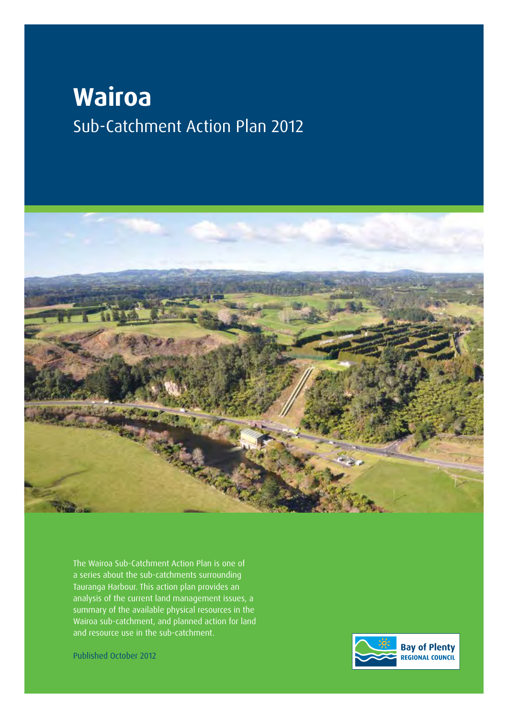# **Wairoa** Sub-Catchment Action Plan 2012



The Wairoa Sub-Catchment Action Plan is one of a series about the sub-catchments surrounding Tauranga Harbour. This action plan provides an analysis of the current land management issues, a summary of the available physical resources in the Wairoa sub-catchment, and planned action for land and resource use in the sub-catchment.

Published October 2012

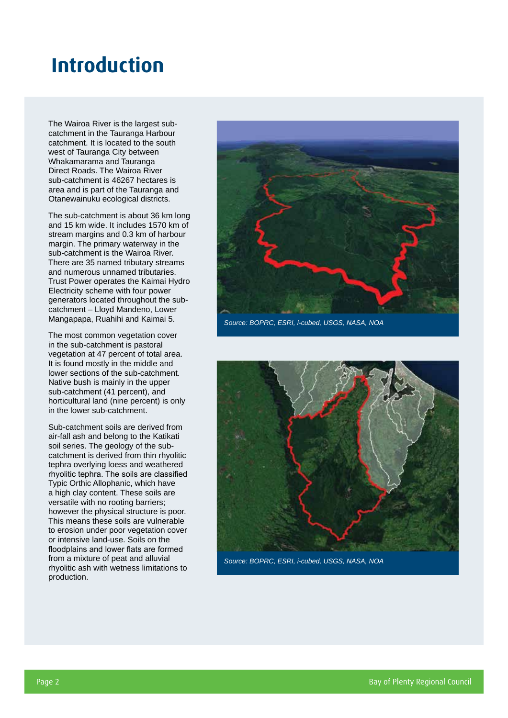## **Introduction**

The Wairoa River is the largest subcatchment in the Tauranga Harbour catchment. It is located to the south west of Tauranga City between Whakamarama and Tauranga Direct Roads. The Wairoa River sub-catchment is 46267 hectares is area and is part of the Tauranga and Otanewainuku ecological districts.

The sub-catchment is about 36 km long and 15 km wide. It includes 1570 km of stream margins and 0.3 km of harbour margin. The primary waterway in the sub-catchment is the Wairoa River. There are 35 named tributary streams and numerous unnamed tributaries. Trust Power operates the Kaimai Hydro Electricity scheme with four power generators located throughout the subcatchment – Lloyd Mandeno, Lower Mangapapa, Ruahihi and Kaimai 5.

The most common vegetation cover in the sub-catchment is pastoral vegetation at 47 percent of total area. It is found mostly in the middle and lower sections of the sub-catchment. Native bush is mainly in the upper sub-catchment (41 percent), and horticultural land (nine percent) is only in the lower sub-catchment.

Sub-catchment soils are derived from air-fall ash and belong to the Katikati soil series. The geology of the subcatchment is derived from thin rhyolitic tephra overlying loess and weathered rhyolitic tephra. The soils are classified Typic Orthic Allophanic, which have a high clay content. These soils are versatile with no rooting barriers; however the physical structure is poor. This means these soils are vulnerable to erosion under poor vegetation cover or intensive land-use. Soils on the floodplains and lower flats are formed from a mixture of peat and alluvial rhyolitic ash with wetness limitations to production.



*Source: BOPRC, ESRI, i-cubed, USGS, NASA, NOA*



*Source: BOPRC, ESRI, i-cubed, USGS, NASA, NOA*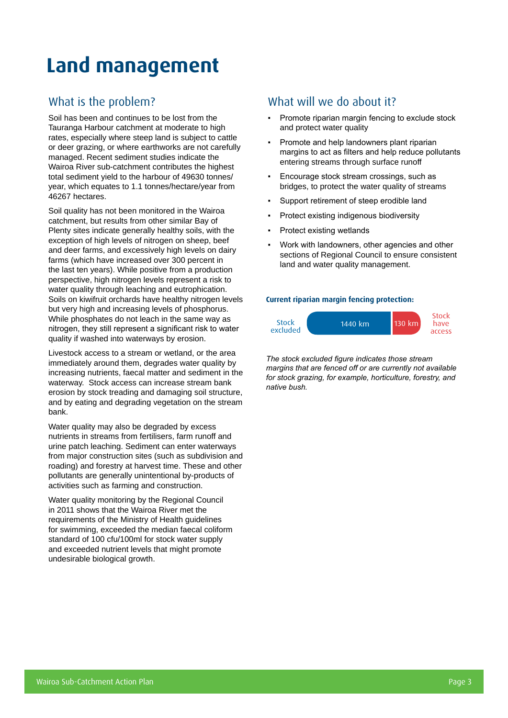## **Land management**

### What is the problem?

Soil has been and continues to be lost from the Tauranga Harbour catchment at moderate to high rates, especially where steep land is subject to cattle or deer grazing, or where earthworks are not carefully managed. Recent sediment studies indicate the Wairoa River sub-catchment contributes the highest total sediment yield to the harbour of 49630 tonnes/ year, which equates to 1.1 tonnes/hectare/year from 46267 hectares.

Soil quality has not been monitored in the Wairoa catchment, but results from other similar Bay of Plenty sites indicate generally healthy soils, with the exception of high levels of nitrogen on sheep, beef and deer farms, and excessively high levels on dairy farms (which have increased over 300 percent in the last ten years). While positive from a production perspective, high nitrogen levels represent a risk to water quality through leaching and eutrophication. Soils on kiwifruit orchards have healthy nitrogen levels but very high and increasing levels of phosphorus. While phosphates do not leach in the same way as nitrogen, they still represent a significant risk to water quality if washed into waterways by erosion.

Livestock access to a stream or wetland, or the area immediately around them, degrades water quality by increasing nutrients, faecal matter and sediment in the waterway. Stock access can increase stream bank erosion by stock treading and damaging soil structure, and by eating and degrading vegetation on the stream bank.

Water quality may also be degraded by excess nutrients in streams from fertilisers, farm runoff and urine patch leaching. Sediment can enter waterways from major construction sites (such as subdivision and roading) and forestry at harvest time. These and other pollutants are generally unintentional by-products of activities such as farming and construction.

Water quality monitoring by the Regional Council in 2011 shows that the Wairoa River met the requirements of the Ministry of Health guidelines for swimming, exceeded the median faecal coliform standard of 100 cfu/100ml for stock water supply and exceeded nutrient levels that might promote undesirable biological growth.

### What will we do about it?

- Promote riparian margin fencing to exclude stock and protect water quality
- Promote and help landowners plant riparian margins to act as filters and help reduce pollutants entering streams through surface runoff
- Encourage stock stream crossings, such as bridges, to protect the water quality of streams
- Support retirement of steep erodible land
- Protect existing indigenous biodiversity
- Protect existing wetlands
- Work with landowners, other agencies and other sections of Regional Council to ensure consistent land and water quality management.

#### **Current riparian margin fencing protection:**



*The stock excluded figure indicates those stream margins that are fenced off or are currently not available for stock grazing, for example, horticulture, forestry, and native bush.*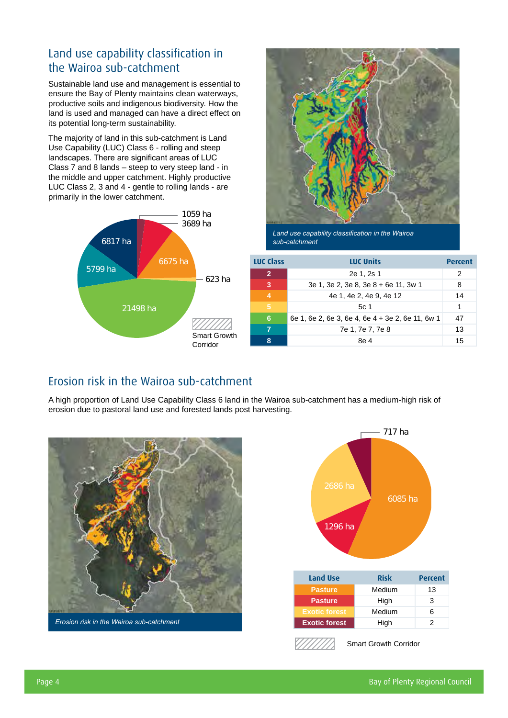### Land use capability classification in the Wairoa sub-catchment

Sustainable land use and management is essential to ensure the Bay of Plenty maintains clean waterways, productive soils and indigenous biodiversity. How the land is used and managed can have a direct effect on its potential long-term sustainability.

The majority of land in this sub-catchment is Land Use Capability (LUC) Class 6 - rolling and steep landscapes. There are significant areas of LUC Class 7 and 8 lands – steep to very steep land - in the middle and upper catchment. Highly productive LUC Class 2, 3 and 4 - gentle to rolling lands - are primarily in the lower catchment.





*Land use capability classification in the Wairoa sub-catchment*

|                          | <b>LUC Class</b> | <b>LUC Units</b>                                 | <b>Percent</b> |
|--------------------------|------------------|--------------------------------------------------|----------------|
| 623 ha                   | $\overline{2}$   | 2e 1, 2s 1                                       | 2              |
|                          | 3                | 3e 1, 3e 2, 3e 8, 3e 8 + 6e 11, 3w 1             | 8              |
|                          | 4                | 4e 1, 4e 2, 4e 9, 4e 12                          | 14             |
|                          | $\overline{5}$   | 5c <sub>1</sub>                                  | 1              |
|                          | 6                | 6e 1, 6e 2, 6e 3, 6e 4, 6e 4 + 3e 2, 6e 11, 6w 1 | 47             |
|                          | 7                | 7e 1, 7e 7, 7e 8                                 | 13             |
| Smart Growth<br>Corridor | 8                | 8e 4                                             | 15             |

### Erosion risk in the Wairoa sub-catchment

A high proportion of Land Use Capability Class 6 land in the Wairoa sub-catchment has a medium-high risk of erosion due to pastoral land use and forested lands post harvesting.







Smart Growth Corridor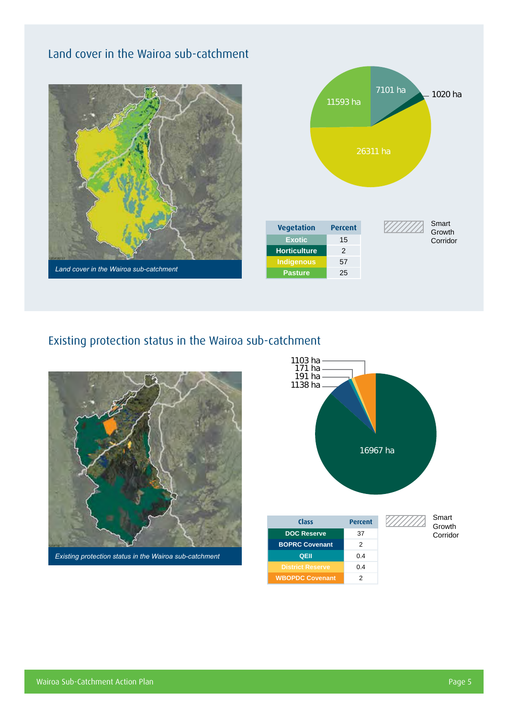## Land cover in the Wairoa sub-catchment





### Existing protection status in the Wairoa sub-catchment



*Existing protection status in the Wairoa sub-catchment*

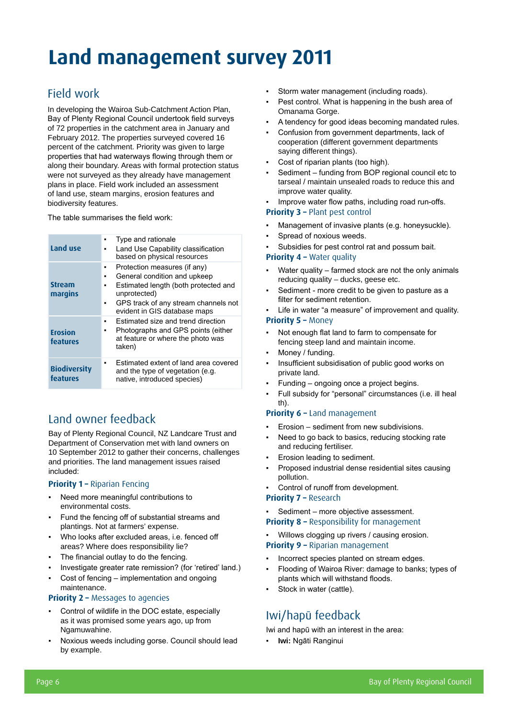# **Land management survey 2011**

## Field work

In developing the Wairoa Sub-Catchment Action Plan, Bay of Plenty Regional Council undertook field surveys of 72 properties in the catchment area in January and February 2012. The properties surveyed covered 16 percent of the catchment. Priority was given to large properties that had waterways flowing through them or along their boundary. Areas with formal protection status were not surveyed as they already have management plans in place. Field work included an assessment of land use, steam margins, erosion features and biodiversity features.

The table summarises the field work:

| Land use                        | Type and rationale<br>٠<br>Land Use Capability classification<br>٠<br>based on physical resources                                                                                                                |
|---------------------------------|------------------------------------------------------------------------------------------------------------------------------------------------------------------------------------------------------------------|
| <b>Stream</b><br>margins        | Protection measures (if any)<br>٠<br>General condition and upkeep<br>٠<br>Estimated length (both protected and<br>٠<br>unprotected)<br>GPS track of any stream channels not<br>٠<br>evident in GIS database maps |
| <b>Erosion</b><br>features      | Estimated size and trend direction<br>٠<br>Photographs and GPS points (either<br>٠.<br>at feature or where the photo was<br>taken)                                                                               |
| <b>Biodiversity</b><br>features | Estimated extent of land area covered<br>and the type of vegetation (e.g.<br>native, introduced species)                                                                                                         |

## Land owner feedback

Bay of Plenty Regional Council, NZ Landcare Trust and Department of Conservation met with land owners on 10 September 2012 to gather their concerns, challenges and priorities. The land management issues raised included:

#### **Priority 1 –** Riparian Fencing

- Need more meaningful contributions to environmental costs.
- Fund the fencing off of substantial streams and plantings. Not at farmers' expense.
- Who looks after excluded areas, i.e. fenced off areas? Where does responsibility lie?
- The financial outlay to do the fencing.
- Investigate greater rate remission? (for 'retired' land.)
- Cost of fencing implementation and ongoing maintenance.

#### **Priority 2 – Messages to agencies**

- Control of wildlife in the DOC estate, especially as it was promised some years ago, up from Ngamuwahine.
- Noxious weeds including gorse. Council should lead by example.
- Storm water management (including roads).
- Pest control. What is happening in the bush area of Omanama Gorge.
- A tendency for good ideas becoming mandated rules.
- Confusion from government departments, lack of cooperation (different government departments saying different things).
- Cost of riparian plants (too high).
- Sediment funding from BOP regional council etc to tarseal / maintain unsealed roads to reduce this and improve water quality.
- Improve water flow paths, including road run-offs.

#### **Priority 3 –** Plant pest control

- Management of invasive plants (e.g. honeysuckle).
- Spread of noxious weeds.
- Subsidies for pest control rat and possum bait.

#### **Priority 4 - Water quality**

- Water quality farmed stock are not the only animals reducing quality – ducks, geese etc.
- Sediment more credit to be given to pasture as a filter for sediment retention.
- Life in water "a measure" of improvement and quality.

#### **Priority 5 –** Money

- Not enough flat land to farm to compensate for fencing steep land and maintain income.
- Money / funding.
- Insufficient subsidisation of public good works on private land.
- Funding ongoing once a project begins.
- Full subsidy for "personal" circumstances (i.e. ill heal th).

#### **Priority 6 –** Land management

- Erosion sediment from new subdivisions.
- Need to go back to basics, reducing stocking rate and reducing fertiliser.
- Erosion leading to sediment.
- Proposed industrial dense residential sites causing pollution.
- Control of runoff from development.

#### Priority 7 - Research

- Sediment more objective assessment.
- **Priority 8** Responsibility for management

## Willows clogging up rivers / causing erosion.

#### **Priority 9 –** Riparian management

- Incorrect species planted on stream edges.
- Flooding of Wairoa River: damage to banks; types of plants which will withstand floods.
- Stock in water (cattle).

## Iwi/hapū feedback

Iwi and hapū with an interest in the area:

▪ **Iwi:** Ngāti Ranginui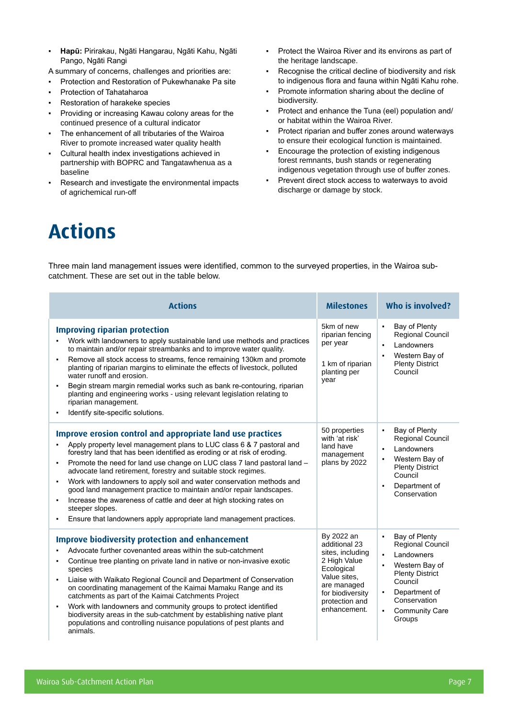- ▪ **Hapū:** Pirirakau, Ngāti Hangarau, Ngāti Kahu, Ngāti Pango, Ngāti Rangi
- A summary of concerns, challenges and priorities are:
- Protection and Restoration of Pukewhanake Pa site
- **Protection of Tahataharoa**
- **Restoration of harakeke species**
- Providing or increasing Kawau colony areas for the continued presence of a cultural indicator
- The enhancement of all tributaries of the Wairoa River to promote increased water quality health
- Cultural health index investigations achieved in partnership with BOPRC and Tangatawhenua as a baseline
- Research and investigate the environmental impacts of agrichemical run-off
- Protect the Wairoa River and its environs as part of the heritage landscape.
- Recognise the critical decline of biodiversity and risk to indigenous flora and fauna within Ngāti Kahu rohe.
- Promote information sharing about the decline of biodiversity.
- Protect and enhance the Tuna (eel) population and/ or habitat within the Wairoa River.
- Protect riparian and buffer zones around waterways to ensure their ecological function is maintained.
- Encourage the protection of existing indigenous forest remnants, bush stands or regenerating indigenous vegetation through use of buffer zones.
- Prevent direct stock access to waterways to avoid discharge or damage by stock.

## **Actions**

Three main land management issues were identified, common to the surveyed properties, in the Wairoa subcatchment. These are set out in the table below.

| <b>Actions</b>                                                                                                                                                                                                                                                                                                                                                                                                                                                                                                                                                                                                                                                                                     | <b>Milestones</b>                                                                                                                                                  | Who is involved?                                                                                                                                                                                                                                          |  |  |
|----------------------------------------------------------------------------------------------------------------------------------------------------------------------------------------------------------------------------------------------------------------------------------------------------------------------------------------------------------------------------------------------------------------------------------------------------------------------------------------------------------------------------------------------------------------------------------------------------------------------------------------------------------------------------------------------------|--------------------------------------------------------------------------------------------------------------------------------------------------------------------|-----------------------------------------------------------------------------------------------------------------------------------------------------------------------------------------------------------------------------------------------------------|--|--|
| <b>Improving riparian protection</b><br>Work with landowners to apply sustainable land use methods and practices<br>to maintain and/or repair streambanks and to improve water quality.<br>Remove all stock access to streams, fence remaining 130km and promote<br>٠<br>planting of riparian margins to eliminate the effects of livestock, polluted<br>water runoff and erosion.<br>Begin stream margin remedial works such as bank re-contouring, riparian<br>planting and engineering works - using relevant legislation relating to<br>riparian management.<br>Identify site-specific solutions.                                                                                              | 5km of new<br>riparian fencing<br>per year<br>1 km of riparian<br>planting per<br>year                                                                             | Bay of Plenty<br>$\blacksquare$<br>Regional Council<br>Landowners<br>Western Bay of<br><b>Plenty District</b><br>Council                                                                                                                                  |  |  |
| Improve erosion control and appropriate land use practices<br>Apply property level management plans to LUC class 6 & 7 pastoral and<br>forestry land that has been identified as eroding or at risk of eroding.<br>Promote the need for land use change on LUC class 7 land pastoral land -<br>٠<br>advocate land retirement, forestry and suitable stock regimes.<br>Work with landowners to apply soil and water conservation methods and<br>٠<br>good land management practice to maintain and/or repair landscapes.<br>Increase the awareness of cattle and deer at high stocking rates on<br>٠<br>steeper slopes.<br>Ensure that landowners apply appropriate land management practices.<br>٠ | 50 properties<br>with 'at risk'<br>land have<br>management<br>plans by 2022                                                                                        | Bay of Plenty<br>$\blacksquare$<br>Regional Council<br>Landowners<br>Western Bay of<br><b>Plenty District</b><br>Council<br>Department of<br>$\blacksquare$<br>Conservation                                                                               |  |  |
| <b>Improve biodiversity protection and enhancement</b><br>Advocate further covenanted areas within the sub-catchment<br>Continue tree planting on private land in native or non-invasive exotic<br>٠<br>species<br>Liaise with Waikato Regional Council and Department of Conservation<br>٠<br>on coordinating management of the Kaimai Mamaku Range and its<br>catchments as part of the Kaimai Catchments Project<br>Work with landowners and community groups to protect identified<br>٠<br>biodiversity areas in the sub-catchment by establishing native plant<br>populations and controlling nuisance populations of pest plants and<br>animals.                                             | By 2022 an<br>additional 23<br>sites, including<br>2 High Value<br>Ecological<br>Value sites.<br>are managed<br>for biodiversity<br>protection and<br>enhancement. | Bay of Plenty<br>$\blacksquare$<br><b>Regional Council</b><br>Landowners<br>Western Bay of<br>$\blacksquare$<br><b>Plenty District</b><br>Council<br>Department of<br>$\blacksquare$<br>Conservation<br><b>Community Care</b><br>$\blacksquare$<br>Groups |  |  |